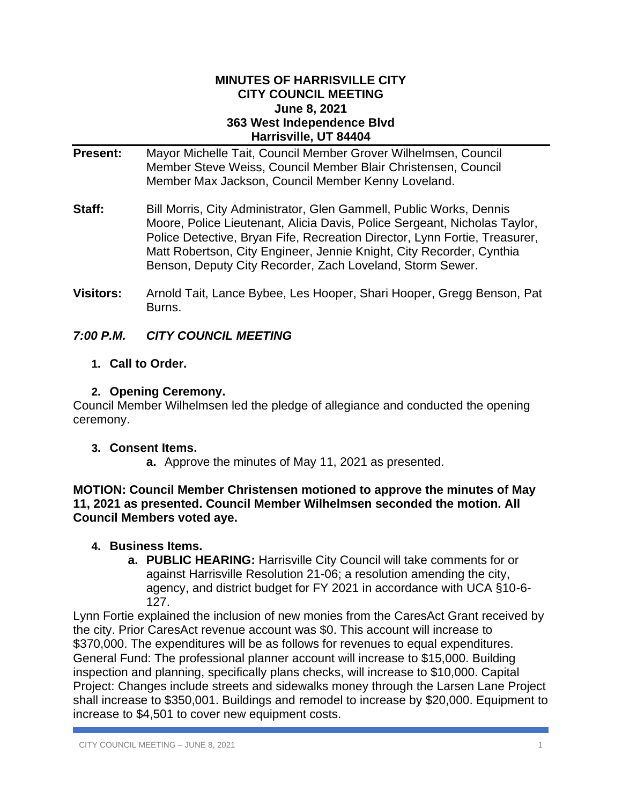#### **MINUTES OF HARRISVILLE CITY CITY COUNCIL MEETING June 8, 2021 363 West Independence Blvd Harrisville, UT 84404**

- **Present:** Mayor Michelle Tait, Council Member Grover Wilhelmsen, Council Member Steve Weiss, Council Member Blair Christensen, Council Member Max Jackson, Council Member Kenny Loveland.
- **Staff:** Bill Morris, City Administrator, Glen Gammell, Public Works, Dennis Moore, Police Lieutenant, Alicia Davis, Police Sergeant, Nicholas Taylor, Police Detective, Bryan Fife, Recreation Director, Lynn Fortie, Treasurer, Matt Robertson, City Engineer, Jennie Knight, City Recorder, Cynthia Benson, Deputy City Recorder, Zach Loveland, Storm Sewer.
- **Visitors:** Arnold Tait, Lance Bybee, Les Hooper, Shari Hooper, Gregg Benson, Pat Burns.

# *7:00 P.M. CITY COUNCIL MEETING*

**1. Call to Order.**

# **2. Opening Ceremony.**

Council Member Wilhelmsen led the pledge of allegiance and conducted the opening ceremony.

# **3. Consent Items.**

**a.** Approve the minutes of May 11, 2021 as presented.

**MOTION: Council Member Christensen motioned to approve the minutes of May 11, 2021 as presented. Council Member Wilhelmsen seconded the motion. All Council Members voted aye.**

# **4. Business Items.**

**a. PUBLIC HEARING:** Harrisville City Council will take comments for or against Harrisville Resolution 21-06; a resolution amending the city, agency, and district budget for FY 2021 in accordance with UCA §10-6- 127.

Lynn Fortie explained the inclusion of new monies from the CaresAct Grant received by the city. Prior CaresAct revenue account was \$0. This account will increase to \$370,000. The expenditures will be as follows for revenues to equal expenditures. General Fund: The professional planner account will increase to \$15,000. Building inspection and planning, specifically plans checks, will increase to \$10,000. Capital Project: Changes include streets and sidewalks money through the Larsen Lane Project shall increase to \$350,001. Buildings and remodel to increase by \$20,000. Equipment to increase to \$4,501 to cover new equipment costs.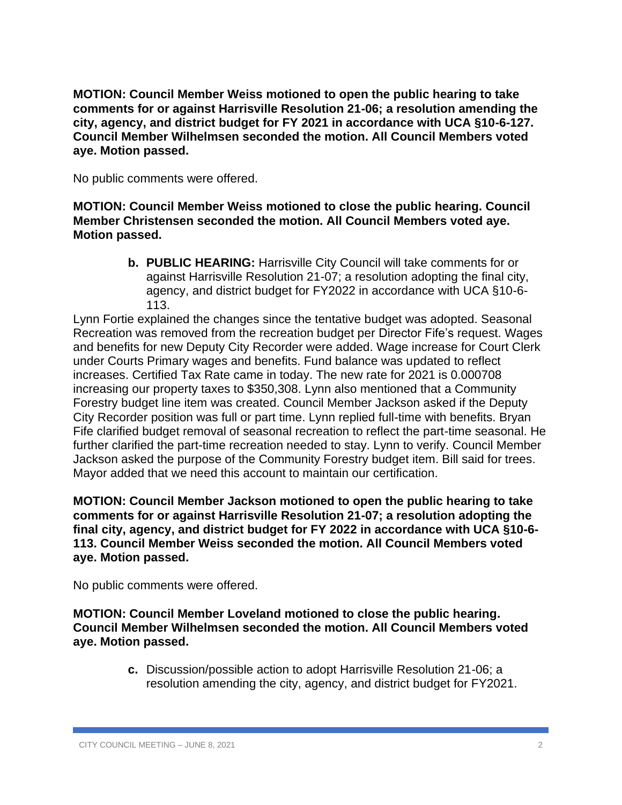**MOTION: Council Member Weiss motioned to open the public hearing to take comments for or against Harrisville Resolution 21-06; a resolution amending the city, agency, and district budget for FY 2021 in accordance with UCA §10-6-127. Council Member Wilhelmsen seconded the motion. All Council Members voted aye. Motion passed.**

No public comments were offered.

**MOTION: Council Member Weiss motioned to close the public hearing. Council Member Christensen seconded the motion. All Council Members voted aye. Motion passed.**

> **b. PUBLIC HEARING:** Harrisville City Council will take comments for or against Harrisville Resolution 21-07; a resolution adopting the final city, agency, and district budget for FY2022 in accordance with UCA §10-6- 113.

Lynn Fortie explained the changes since the tentative budget was adopted. Seasonal Recreation was removed from the recreation budget per Director Fife's request. Wages and benefits for new Deputy City Recorder were added. Wage increase for Court Clerk under Courts Primary wages and benefits. Fund balance was updated to reflect increases. Certified Tax Rate came in today. The new rate for 2021 is 0.000708 increasing our property taxes to \$350,308. Lynn also mentioned that a Community Forestry budget line item was created. Council Member Jackson asked if the Deputy City Recorder position was full or part time. Lynn replied full-time with benefits. Bryan Fife clarified budget removal of seasonal recreation to reflect the part-time seasonal. He further clarified the part-time recreation needed to stay. Lynn to verify. Council Member Jackson asked the purpose of the Community Forestry budget item. Bill said for trees. Mayor added that we need this account to maintain our certification.

**MOTION: Council Member Jackson motioned to open the public hearing to take comments for or against Harrisville Resolution 21-07; a resolution adopting the final city, agency, and district budget for FY 2022 in accordance with UCA §10-6- 113. Council Member Weiss seconded the motion. All Council Members voted aye. Motion passed.**

No public comments were offered.

**MOTION: Council Member Loveland motioned to close the public hearing. Council Member Wilhelmsen seconded the motion. All Council Members voted aye. Motion passed.**

> **c.** Discussion/possible action to adopt Harrisville Resolution 21-06; a resolution amending the city, agency, and district budget for FY2021.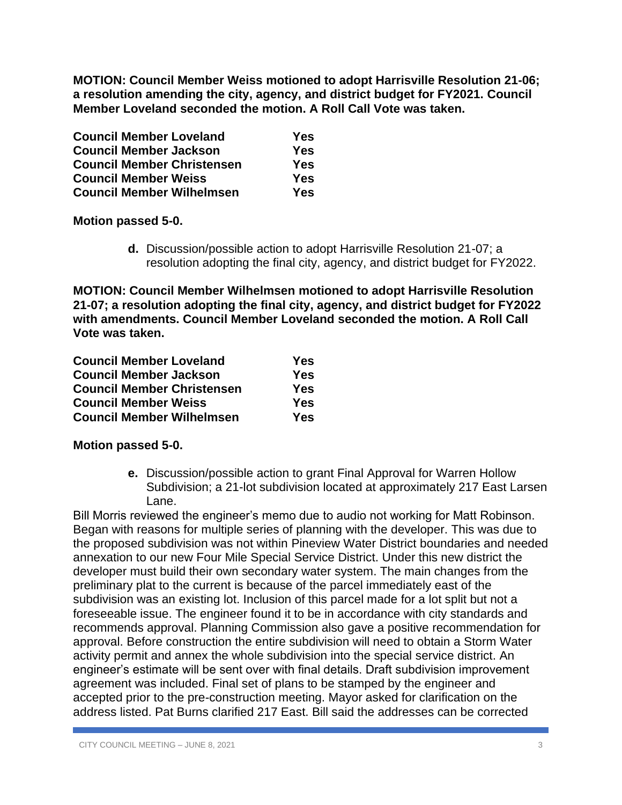**MOTION: Council Member Weiss motioned to adopt Harrisville Resolution 21-06; a resolution amending the city, agency, and district budget for FY2021. Council Member Loveland seconded the motion. A Roll Call Vote was taken.** 

| <b>Council Member Loveland</b>    | Yes |
|-----------------------------------|-----|
| <b>Council Member Jackson</b>     | Yes |
| <b>Council Member Christensen</b> | Yes |
| <b>Council Member Weiss</b>       | Yes |
| <b>Council Member Wilhelmsen</b>  | Yes |

**Motion passed 5-0.**

**d.** Discussion/possible action to adopt Harrisville Resolution 21-07; a resolution adopting the final city, agency, and district budget for FY2022.

**MOTION: Council Member Wilhelmsen motioned to adopt Harrisville Resolution 21-07; a resolution adopting the final city, agency, and district budget for FY2022 with amendments. Council Member Loveland seconded the motion. A Roll Call Vote was taken.** 

| <b>Council Member Loveland</b>    | Yes        |
|-----------------------------------|------------|
| <b>Council Member Jackson</b>     | <b>Yes</b> |
| <b>Council Member Christensen</b> | Yes        |
| <b>Council Member Weiss</b>       | <b>Yes</b> |
| <b>Council Member Wilhelmsen</b>  | Yes        |

### **Motion passed 5-0.**

**e.** Discussion/possible action to grant Final Approval for Warren Hollow Subdivision; a 21-lot subdivision located at approximately 217 East Larsen Lane.

Bill Morris reviewed the engineer's memo due to audio not working for Matt Robinson. Began with reasons for multiple series of planning with the developer. This was due to the proposed subdivision was not within Pineview Water District boundaries and needed annexation to our new Four Mile Special Service District. Under this new district the developer must build their own secondary water system. The main changes from the preliminary plat to the current is because of the parcel immediately east of the subdivision was an existing lot. Inclusion of this parcel made for a lot split but not a foreseeable issue. The engineer found it to be in accordance with city standards and recommends approval. Planning Commission also gave a positive recommendation for approval. Before construction the entire subdivision will need to obtain a Storm Water activity permit and annex the whole subdivision into the special service district. An engineer's estimate will be sent over with final details. Draft subdivision improvement agreement was included. Final set of plans to be stamped by the engineer and accepted prior to the pre-construction meeting. Mayor asked for clarification on the address listed. Pat Burns clarified 217 East. Bill said the addresses can be corrected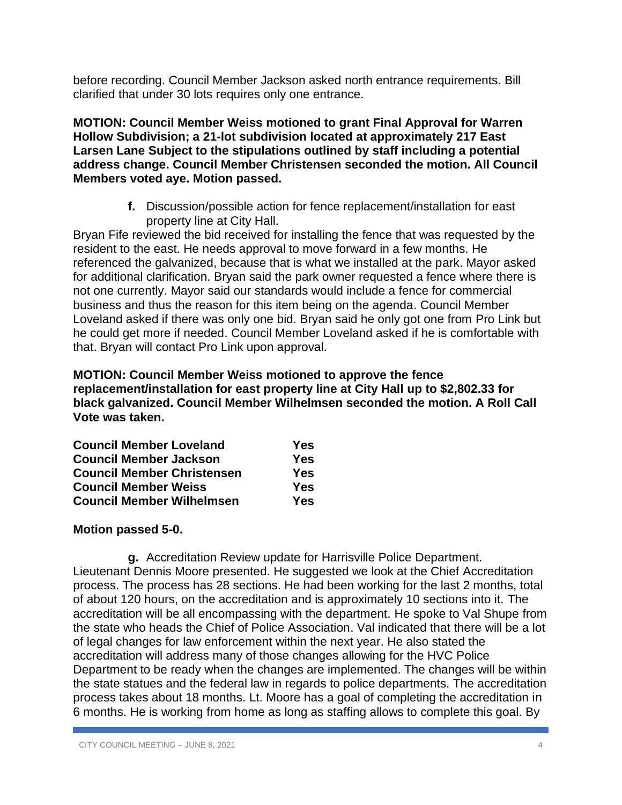before recording. Council Member Jackson asked north entrance requirements. Bill clarified that under 30 lots requires only one entrance.

**MOTION: Council Member Weiss motioned to grant Final Approval for Warren Hollow Subdivision; a 21-lot subdivision located at approximately 217 East Larsen Lane Subject to the stipulations outlined by staff including a potential address change. Council Member Christensen seconded the motion. All Council Members voted aye. Motion passed.**

> **f.** Discussion/possible action for fence replacement/installation for east property line at City Hall.

Bryan Fife reviewed the bid received for installing the fence that was requested by the resident to the east. He needs approval to move forward in a few months. He referenced the galvanized, because that is what we installed at the park. Mayor asked for additional clarification. Bryan said the park owner requested a fence where there is not one currently. Mayor said our standards would include a fence for commercial business and thus the reason for this item being on the agenda. Council Member Loveland asked if there was only one bid. Bryan said he only got one from Pro Link but he could get more if needed. Council Member Loveland asked if he is comfortable with that. Bryan will contact Pro Link upon approval.

**MOTION: Council Member Weiss motioned to approve the fence replacement/installation for east property line at City Hall up to \$2,802.33 for black galvanized. Council Member Wilhelmsen seconded the motion. A Roll Call Vote was taken.**

| <b>Council Member Loveland</b>    | Yes |
|-----------------------------------|-----|
| <b>Council Member Jackson</b>     | Yes |
| <b>Council Member Christensen</b> | Yes |
| <b>Council Member Weiss</b>       | Yes |
| <b>Council Member Wilhelmsen</b>  | Yes |

### **Motion passed 5-0.**

**g.** Accreditation Review update for Harrisville Police Department. Lieutenant Dennis Moore presented. He suggested we look at the Chief Accreditation process. The process has 28 sections. He had been working for the last 2 months, total of about 120 hours, on the accreditation and is approximately 10 sections into it. The accreditation will be all encompassing with the department. He spoke to Val Shupe from the state who heads the Chief of Police Association. Val indicated that there will be a lot of legal changes for law enforcement within the next year. He also stated the accreditation will address many of those changes allowing for the HVC Police Department to be ready when the changes are implemented. The changes will be within the state statues and the federal law in regards to police departments. The accreditation process takes about 18 months. Lt. Moore has a goal of completing the accreditation in 6 months. He is working from home as long as staffing allows to complete this goal. By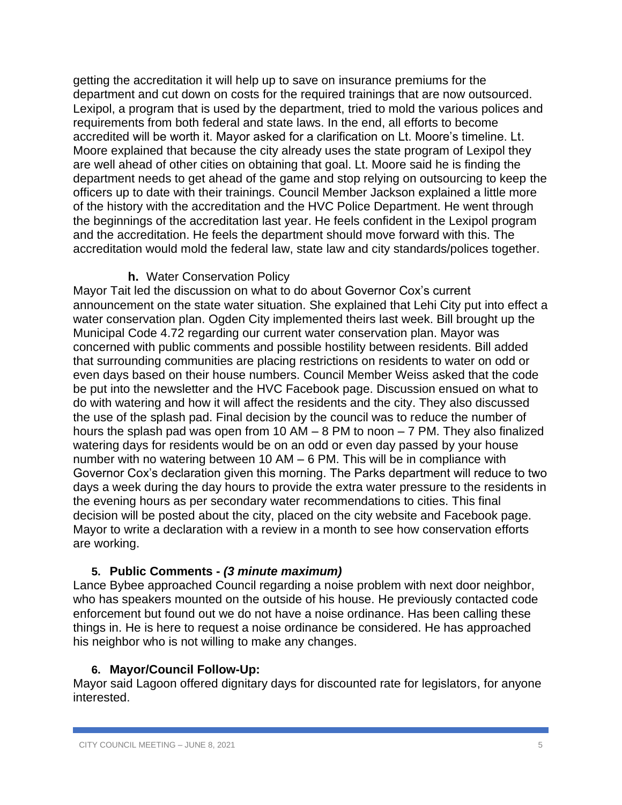getting the accreditation it will help up to save on insurance premiums for the department and cut down on costs for the required trainings that are now outsourced. Lexipol, a program that is used by the department, tried to mold the various polices and requirements from both federal and state laws. In the end, all efforts to become accredited will be worth it. Mayor asked for a clarification on Lt. Moore's timeline. Lt. Moore explained that because the city already uses the state program of Lexipol they are well ahead of other cities on obtaining that goal. Lt. Moore said he is finding the department needs to get ahead of the game and stop relying on outsourcing to keep the officers up to date with their trainings. Council Member Jackson explained a little more of the history with the accreditation and the HVC Police Department. He went through the beginnings of the accreditation last year. He feels confident in the Lexipol program and the accreditation. He feels the department should move forward with this. The accreditation would mold the federal law, state law and city standards/polices together.

# **h.** Water Conservation Policy

Mayor Tait led the discussion on what to do about Governor Cox's current announcement on the state water situation. She explained that Lehi City put into effect a water conservation plan. Ogden City implemented theirs last week. Bill brought up the Municipal Code 4.72 regarding our current water conservation plan. Mayor was concerned with public comments and possible hostility between residents. Bill added that surrounding communities are placing restrictions on residents to water on odd or even days based on their house numbers. Council Member Weiss asked that the code be put into the newsletter and the HVC Facebook page. Discussion ensued on what to do with watering and how it will affect the residents and the city. They also discussed the use of the splash pad. Final decision by the council was to reduce the number of hours the splash pad was open from 10 AM – 8 PM to noon – 7 PM. They also finalized watering days for residents would be on an odd or even day passed by your house number with no watering between 10 AM – 6 PM. This will be in compliance with Governor Cox's declaration given this morning. The Parks department will reduce to two days a week during the day hours to provide the extra water pressure to the residents in the evening hours as per secondary water recommendations to cities. This final decision will be posted about the city, placed on the city website and Facebook page. Mayor to write a declaration with a review in a month to see how conservation efforts are working.

# **5. Public Comments -** *(3 minute maximum)*

Lance Bybee approached Council regarding a noise problem with next door neighbor, who has speakers mounted on the outside of his house. He previously contacted code enforcement but found out we do not have a noise ordinance. Has been calling these things in. He is here to request a noise ordinance be considered. He has approached his neighbor who is not willing to make any changes.

### **6. Mayor/Council Follow-Up:**

Mayor said Lagoon offered dignitary days for discounted rate for legislators, for anyone interested.